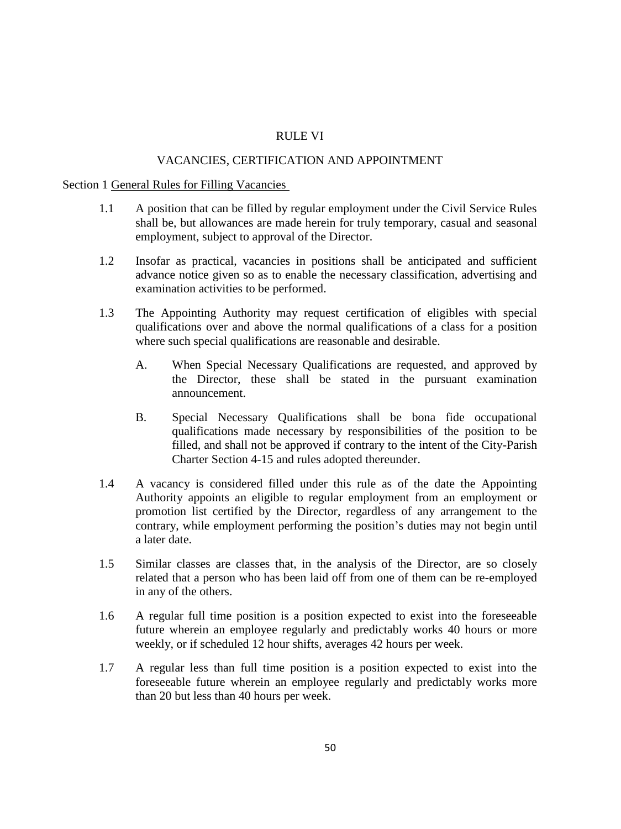# RULE VI

## VACANCIES, CERTIFICATION AND APPOINTMENT

### Section 1 General Rules for Filling Vacancies

- 1.1 A position that can be filled by regular employment under the Civil Service Rules shall be, but allowances are made herein for truly temporary, casual and seasonal employment, subject to approval of the Director.
- 1.2 Insofar as practical, vacancies in positions shall be anticipated and sufficient advance notice given so as to enable the necessary classification, advertising and examination activities to be performed.
- 1.3 The Appointing Authority may request certification of eligibles with special qualifications over and above the normal qualifications of a class for a position where such special qualifications are reasonable and desirable.
	- A. When Special Necessary Qualifications are requested, and approved by the Director, these shall be stated in the pursuant examination announcement.
	- B. Special Necessary Qualifications shall be bona fide occupational qualifications made necessary by responsibilities of the position to be filled, and shall not be approved if contrary to the intent of the City-Parish Charter Section 4-15 and rules adopted thereunder.
- 1.4 A vacancy is considered filled under this rule as of the date the Appointing Authority appoints an eligible to regular employment from an employment or promotion list certified by the Director, regardless of any arrangement to the contrary, while employment performing the position's duties may not begin until a later date.
- 1.5 Similar classes are classes that, in the analysis of the Director, are so closely related that a person who has been laid off from one of them can be re-employed in any of the others.
- 1.6 A regular full time position is a position expected to exist into the foreseeable future wherein an employee regularly and predictably works 40 hours or more weekly, or if scheduled 12 hour shifts, averages 42 hours per week.
- 1.7 A regular less than full time position is a position expected to exist into the foreseeable future wherein an employee regularly and predictably works more than 20 but less than 40 hours per week.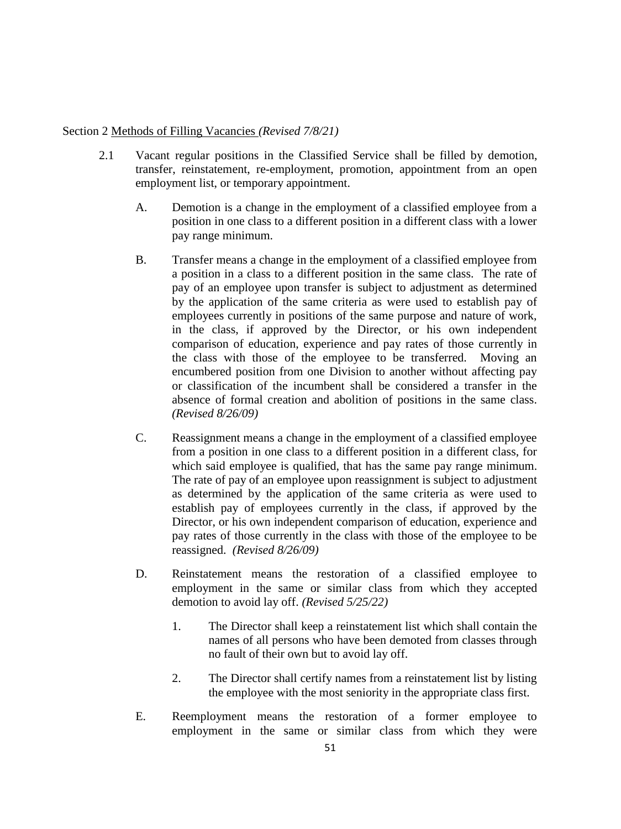## Section 2 Methods of Filling Vacancies *(Revised 7/8/21)*

- 2.1 Vacant regular positions in the Classified Service shall be filled by demotion, transfer, reinstatement, re-employment, promotion, appointment from an open employment list, or temporary appointment.
	- A. Demotion is a change in the employment of a classified employee from a position in one class to a different position in a different class with a lower pay range minimum.
	- B. Transfer means a change in the employment of a classified employee from a position in a class to a different position in the same class. The rate of pay of an employee upon transfer is subject to adjustment as determined by the application of the same criteria as were used to establish pay of employees currently in positions of the same purpose and nature of work, in the class, if approved by the Director, or his own independent comparison of education, experience and pay rates of those currently in the class with those of the employee to be transferred. Moving an encumbered position from one Division to another without affecting pay or classification of the incumbent shall be considered a transfer in the absence of formal creation and abolition of positions in the same class. *(Revised 8/26/09)*
	- C. Reassignment means a change in the employment of a classified employee from a position in one class to a different position in a different class, for which said employee is qualified, that has the same pay range minimum. The rate of pay of an employee upon reassignment is subject to adjustment as determined by the application of the same criteria as were used to establish pay of employees currently in the class, if approved by the Director, or his own independent comparison of education, experience and pay rates of those currently in the class with those of the employee to be reassigned. *(Revised 8/26/09)*
	- D. Reinstatement means the restoration of a classified employee to employment in the same or similar class from which they accepted demotion to avoid lay off. *(Revised 5/25/22)*
		- 1. The Director shall keep a reinstatement list which shall contain the names of all persons who have been demoted from classes through no fault of their own but to avoid lay off.
		- 2. The Director shall certify names from a reinstatement list by listing the employee with the most seniority in the appropriate class first.
	- E. Reemployment means the restoration of a former employee to employment in the same or similar class from which they were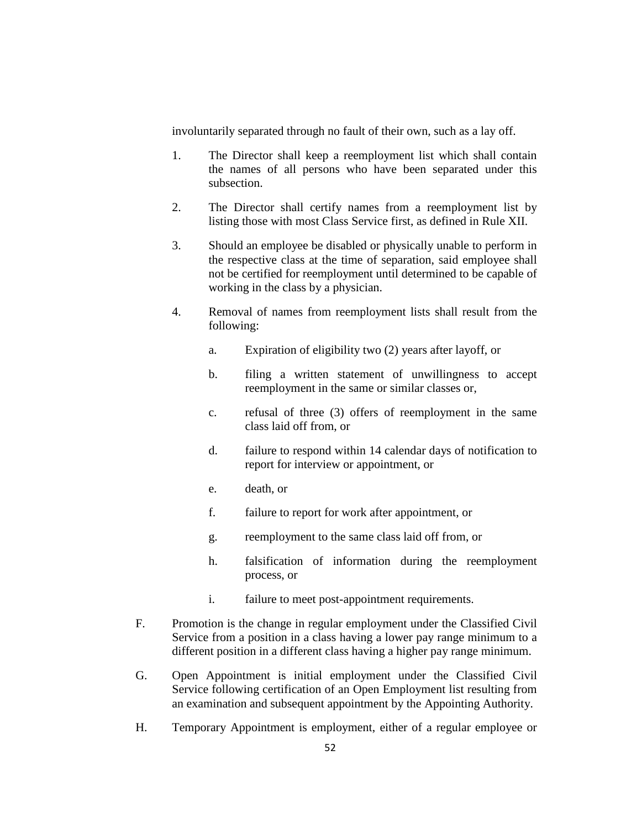involuntarily separated through no fault of their own, such as a lay off.

- 1. The Director shall keep a reemployment list which shall contain the names of all persons who have been separated under this subsection.
- 2. The Director shall certify names from a reemployment list by listing those with most Class Service first, as defined in Rule XII.
- 3. Should an employee be disabled or physically unable to perform in the respective class at the time of separation, said employee shall not be certified for reemployment until determined to be capable of working in the class by a physician.
- 4. Removal of names from reemployment lists shall result from the following:
	- a. Expiration of eligibility two (2) years after layoff, or
	- b. filing a written statement of unwillingness to accept reemployment in the same or similar classes or,
	- c. refusal of three (3) offers of reemployment in the same class laid off from, or
	- d. failure to respond within 14 calendar days of notification to report for interview or appointment, or
	- e. death, or
	- f. failure to report for work after appointment, or
	- g. reemployment to the same class laid off from, or
	- h. falsification of information during the reemployment process, or
	- i. failure to meet post-appointment requirements.
- F. Promotion is the change in regular employment under the Classified Civil Service from a position in a class having a lower pay range minimum to a different position in a different class having a higher pay range minimum.
- G. Open Appointment is initial employment under the Classified Civil Service following certification of an Open Employment list resulting from an examination and subsequent appointment by the Appointing Authority.
- H. Temporary Appointment is employment, either of a regular employee or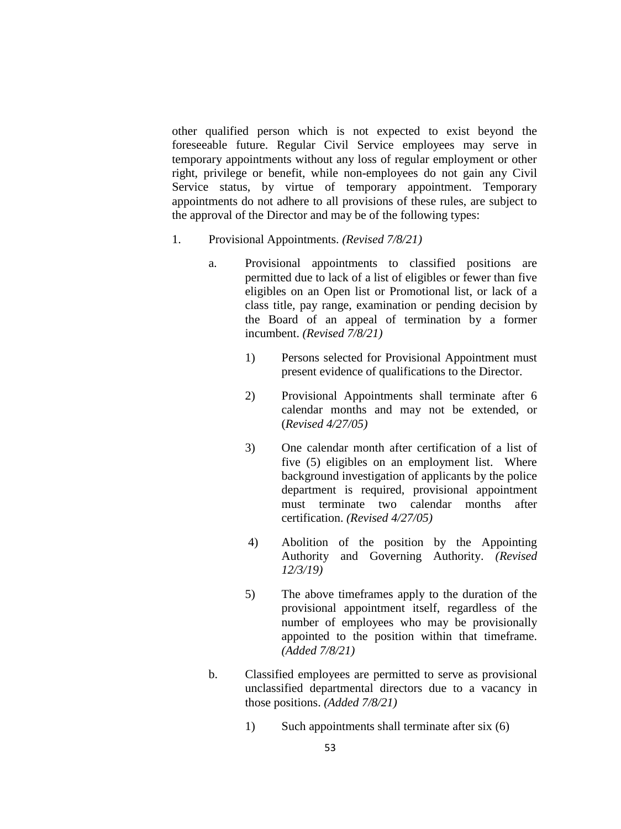other qualified person which is not expected to exist beyond the foreseeable future. Regular Civil Service employees may serve in temporary appointments without any loss of regular employment or other right, privilege or benefit, while non-employees do not gain any Civil Service status, by virtue of temporary appointment. Temporary appointments do not adhere to all provisions of these rules, are subject to the approval of the Director and may be of the following types:

- 1. Provisional Appointments. *(Revised 7/8/21)*
	- a. Provisional appointments to classified positions are permitted due to lack of a list of eligibles or fewer than five eligibles on an Open list or Promotional list, or lack of a class title, pay range, examination or pending decision by the Board of an appeal of termination by a former incumbent. *(Revised 7/8/21)*
		- 1) Persons selected for Provisional Appointment must present evidence of qualifications to the Director.
		- 2) Provisional Appointments shall terminate after 6 calendar months and may not be extended, or (*Revised 4/27/05)*
		- 3) One calendar month after certification of a list of five (5) eligibles on an employment list. Where background investigation of applicants by the police department is required, provisional appointment must terminate two calendar months after certification. *(Revised 4/27/05)*
		- 4) Abolition of the position by the Appointing Authority and Governing Authority. *(Revised 12/3/19)*
		- 5) The above timeframes apply to the duration of the provisional appointment itself, regardless of the number of employees who may be provisionally appointed to the position within that timeframe. *(Added 7/8/21)*
	- b. Classified employees are permitted to serve as provisional unclassified departmental directors due to a vacancy in those positions. *(Added 7/8/21)*
		- 1) Such appointments shall terminate after six (6)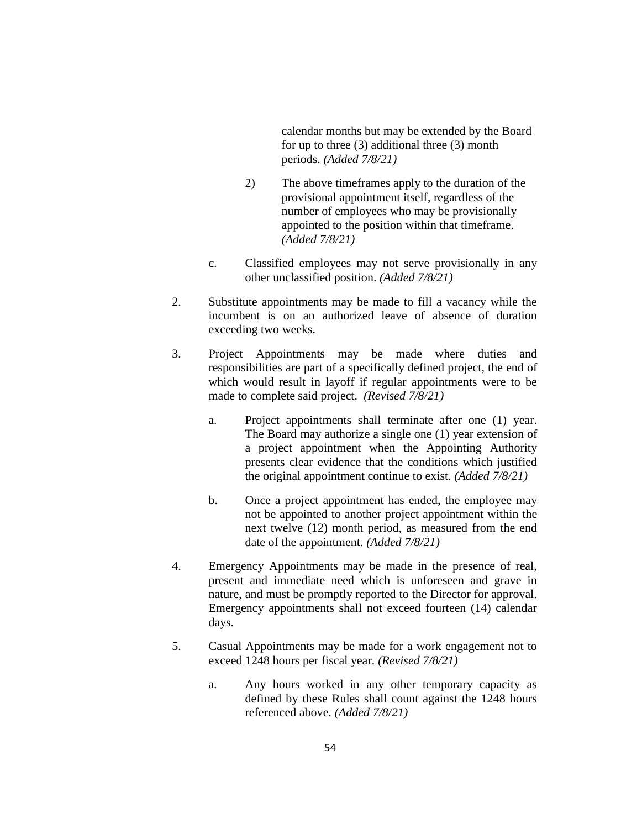calendar months but may be extended by the Board for up to three (3) additional three (3) month periods. *(Added 7/8/21)*

- 2) The above timeframes apply to the duration of the provisional appointment itself, regardless of the number of employees who may be provisionally appointed to the position within that timeframe. *(Added 7/8/21)*
- c. Classified employees may not serve provisionally in any other unclassified position. *(Added 7/8/21)*
- 2. Substitute appointments may be made to fill a vacancy while the incumbent is on an authorized leave of absence of duration exceeding two weeks.
- 3. Project Appointments may be made where duties and responsibilities are part of a specifically defined project, the end of which would result in layoff if regular appointments were to be made to complete said project. *(Revised 7/8/21)* 
	- a. Project appointments shall terminate after one (1) year. The Board may authorize a single one (1) year extension of a project appointment when the Appointing Authority presents clear evidence that the conditions which justified the original appointment continue to exist. *(Added 7/8/21)*
	- b. Once a project appointment has ended, the employee may not be appointed to another project appointment within the next twelve (12) month period, as measured from the end date of the appointment. *(Added 7/8/21)*
- 4. Emergency Appointments may be made in the presence of real, present and immediate need which is unforeseen and grave in nature, and must be promptly reported to the Director for approval. Emergency appointments shall not exceed fourteen (14) calendar days.
- 5. Casual Appointments may be made for a work engagement not to exceed 1248 hours per fiscal year. *(Revised 7/8/21)*
	- a. Any hours worked in any other temporary capacity as defined by these Rules shall count against the 1248 hours referenced above. *(Added 7/8/21)*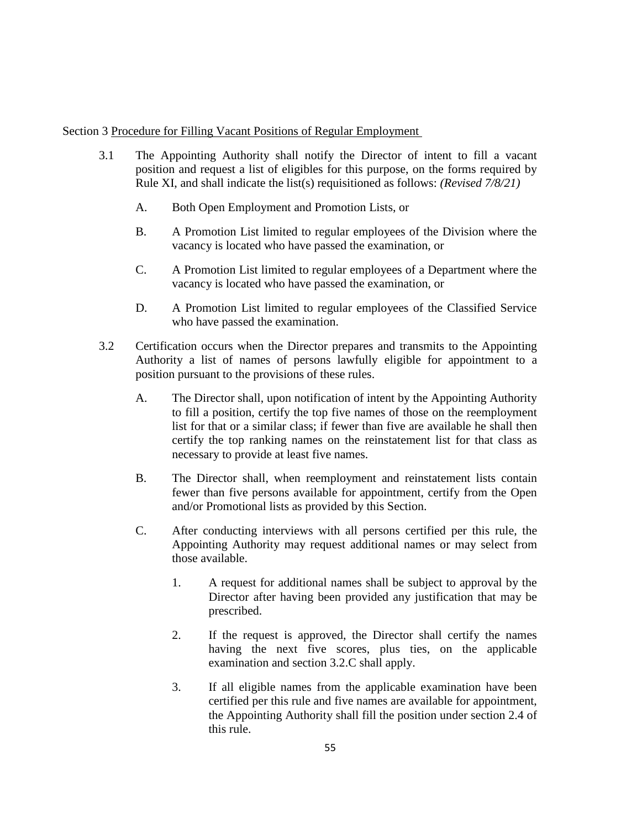# Section 3 Procedure for Filling Vacant Positions of Regular Employment

- 3.1 The Appointing Authority shall notify the Director of intent to fill a vacant position and request a list of eligibles for this purpose, on the forms required by Rule XI, and shall indicate the list(s) requisitioned as follows: *(Revised 7/8/21)*
	- A. Both Open Employment and Promotion Lists, or
	- B. A Promotion List limited to regular employees of the Division where the vacancy is located who have passed the examination, or
	- C. A Promotion List limited to regular employees of a Department where the vacancy is located who have passed the examination, or
	- D. A Promotion List limited to regular employees of the Classified Service who have passed the examination.
- 3.2 Certification occurs when the Director prepares and transmits to the Appointing Authority a list of names of persons lawfully eligible for appointment to a position pursuant to the provisions of these rules.
	- A. The Director shall, upon notification of intent by the Appointing Authority to fill a position, certify the top five names of those on the reemployment list for that or a similar class; if fewer than five are available he shall then certify the top ranking names on the reinstatement list for that class as necessary to provide at least five names.
	- B. The Director shall, when reemployment and reinstatement lists contain fewer than five persons available for appointment, certify from the Open and/or Promotional lists as provided by this Section.
	- C. After conducting interviews with all persons certified per this rule, the Appointing Authority may request additional names or may select from those available.
		- 1. A request for additional names shall be subject to approval by the Director after having been provided any justification that may be prescribed.
		- 2. If the request is approved, the Director shall certify the names having the next five scores, plus ties, on the applicable examination and section 3.2.C shall apply.
		- 3. If all eligible names from the applicable examination have been certified per this rule and five names are available for appointment, the Appointing Authority shall fill the position under section 2.4 of this rule.